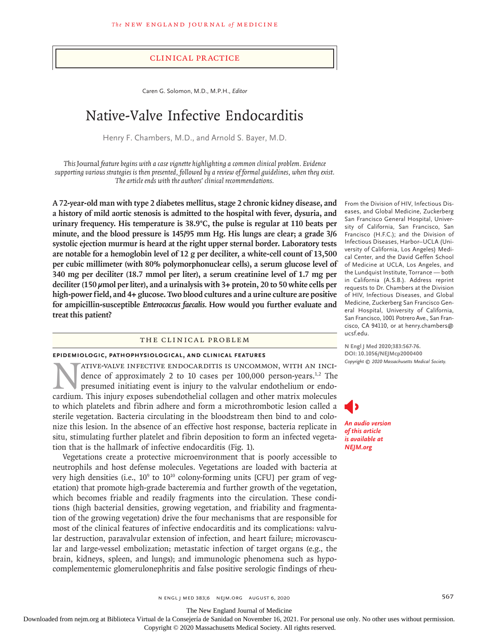# Clinical Practice

Caren G. Solomon, M.D., M.P.H., *Editor*

# Native-Valve Infective Endocarditis

Henry F. Chambers, M.D., and Arnold S. Bayer, M.D.

*This* Journal *feature begins with a case vignette highlighting a common clinical problem. Evidence supporting various strategies is then presented, followed by a review of formal guidelines, when they exist. The article ends with the authors' clinical recommendations.*

**A 72-year-old man with type 2 diabetes mellitus, stage 2 chronic kidney disease, and a history of mild aortic stenosis is admitted to the hospital with fever, dysuria, and urinary frequency. His temperature is 38.9°C, the pulse is regular at 110 beats per minute, and the blood pressure is 145/95 mm Hg. His lungs are clear; a grade 3/6 systolic ejection murmur is heard at the right upper sternal border. Laboratory tests are notable for a hemoglobin level of 12 g per deciliter, a white-cell count of 13,500 per cubic millimeter (with 80% polymorphonuclear cells), a serum glucose level of 340 mg per deciliter (18.7 mmol per liter), a serum creatinine level of 1.7 mg per deciliter (150 μmol per liter), and a urinalysis with 3+ protein, 20 to 50 white cells per high-power field, and 4+ glucose. Two blood cultures and a urine culture are positive for ampicillin-susceptible** *Enterococcus faecalis.* **How would you further evaluate and treat this patient?**

# The Clinical Problem

# **Epidemiologic, Pathophysiological, and Clinical Features**

ATIVE-VALVE INFECTIVE ENDOCARDITIS IS UNCOMMON, WITH AN INCIDENT (CHECK) and the presumed initiating event is injury to the valvular endothelium or endocardium. This injury exposes subendothelial collagen and other matrix dence of approximately 2 to 10 cases per 100,000 person-years.<sup>1,2</sup> The presumed initiating event is injury to the valvular endothelium or endocardium. This injury exposes subendothelial collagen and other matrix molecules to which platelets and fibrin adhere and form a microthrombotic lesion called a sterile vegetation. Bacteria circulating in the bloodstream then bind to and colonize this lesion. In the absence of an effective host response, bacteria replicate in situ, stimulating further platelet and fibrin deposition to form an infected vegetation that is the hallmark of infective endocarditis (Fig. 1).

Vegetations create a protective microenvironment that is poorly accessible to neutrophils and host defense molecules. Vegetations are loaded with bacteria at very high densities (i.e.,  $10^{\circ}$  to  $10^{\text{10}}$  colony-forming units [CFU] per gram of vegetation) that promote high-grade bacteremia and further growth of the vegetation, which becomes friable and readily fragments into the circulation. These conditions (high bacterial densities, growing vegetation, and friability and fragmentation of the growing vegetation) drive the four mechanisms that are responsible for most of the clinical features of infective endocarditis and its complications: valvular destruction, paravalvular extension of infection, and heart failure; microvascular and large-vessel embolization; metastatic infection of target organs (e.g., the brain, kidneys, spleen, and lungs); and immunologic phenomena such as hypocomplementemic glomerulonephritis and false positive serologic findings of rheu-

From the Division of HIV, Infectious Diseases, and Global Medicine, Zuckerberg San Francisco General Hospital, University of California, San Francisco, San Francisco (H.F.C.); and the Division of Infectious Diseases, Harbor–UCLA (University of California, Los Angeles) Medical Center, and the David Geffen School of Medicine at UCLA, Los Angeles, and the Lundquist Institute, Torrance — both in California (A.S.B.). Address reprint requests to Dr. Chambers at the Division of HIV, Infectious Diseases, and Global Medicine, Zuckerberg San Francisco General Hospital, University of California, San Francisco, 1001 Potrero Ave., San Francisco, CA 94110, or at henry.chambers@ ucsf.edu.

**N Engl J Med 2020;383:567-76. DOI: 10.1056/NEJMcp2000400** *Copyright © 2020 Massachusetts Medical Society.*

*An audio version of this article is available at NEJM.org*

n engl j med 383;6 nejm.org August 6, 2020 567

The New England Journal of Medicine

Downloaded from nejm.org at Biblioteca Virtual de la Consejería de Sanidad on November 16, 2021. For personal use only. No other uses without permission.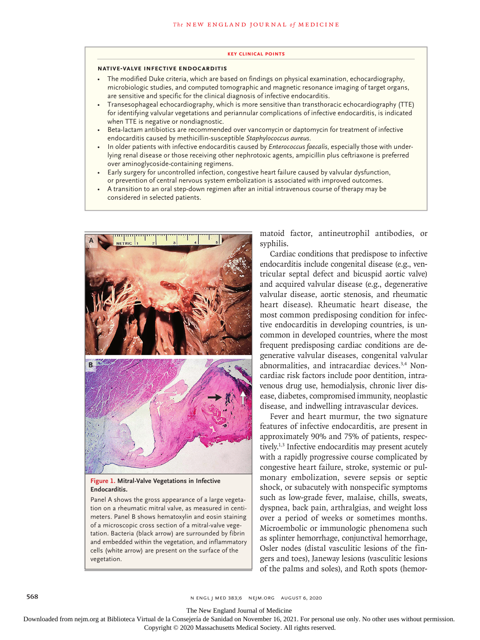#### **Key Clinical Points**

# **Native-Valve Infective Endocarditis**

- The modified Duke criteria, which are based on findings on physical examination, echocardiography, microbiologic studies, and computed tomographic and magnetic resonance imaging of target organs, are sensitive and specific for the clinical diagnosis of infective endocarditis.
- Transesophageal echocardiography, which is more sensitive than transthoracic echocardiography (TTE) for identifying valvular vegetations and periannular complications of infective endocarditis, is indicated when TTE is negative or nondiagnostic.
- Beta-lactam antibiotics are recommended over vancomycin or daptomycin for treatment of infective endocarditis caused by methicillin-susceptible *Staphylococcus aureus*.
- In older patients with infective endocarditis caused by *Enterococcus faecalis*, especially those with underlying renal disease or those receiving other nephrotoxic agents, ampicillin plus ceftriaxone is preferred over aminoglycoside-containing regimens.
- Early surgery for uncontrolled infection, congestive heart failure caused by valvular dysfunction, or prevention of central nervous system embolization is associated with improved outcomes.
- A transition to an oral step-down regimen after an initial intravenous course of therapy may be considered in selected patients.



**Figure 1. Mitral-Valve Vegetations in Infective Endocarditis.**

Panel A shows the gross appearance of a large vegetation on a rheumatic mitral valve, as measured in centimeters. Panel B shows hematoxylin and eosin staining of a microscopic cross section of a mitral-valve vegetation. Bacteria (black arrow) are surrounded by fibrin and embedded within the vegetation, and inflammatory cells (white arrow) are present on the surface of the vegetation.

matoid factor, antineutrophil antibodies, or syphilis.

Cardiac conditions that predispose to infective endocarditis include congenital disease (e.g., ventricular septal defect and bicuspid aortic valve) and acquired valvular disease (e.g., degenerative valvular disease, aortic stenosis, and rheumatic heart disease). Rheumatic heart disease, the most common predisposing condition for infective endocarditis in developing countries, is uncommon in developed countries, where the most frequent predisposing cardiac conditions are degenerative valvular diseases, congenital valvular abnormalities, and intracardiac devices.3,4 Noncardiac risk factors include poor dentition, intravenous drug use, hemodialysis, chronic liver disease, diabetes, compromised immunity, neoplastic disease, and indwelling intravascular devices.

Fever and heart murmur, the two signature features of infective endocarditis, are present in approximately 90% and 75% of patients, respectively.1,3 Infective endocarditis may present acutely with a rapidly progressive course complicated by congestive heart failure, stroke, systemic or pulmonary embolization, severe sepsis or septic shock, or subacutely with nonspecific symptoms such as low-grade fever, malaise, chills, sweats, dyspnea, back pain, arthralgias, and weight loss over a period of weeks or sometimes months. Microembolic or immunologic phenomena such as splinter hemorrhage, conjunctival hemorrhage, Osler nodes (distal vasculitic lesions of the fingers and toes), Janeway lesions (vasculitic lesions of the palms and soles), and Roth spots (hemor-

The New England Journal of Medicine

Downloaded from nejm.org at Biblioteca Virtual de la Consejería de Sanidad on November 16, 2021. For personal use only. No other uses without permission.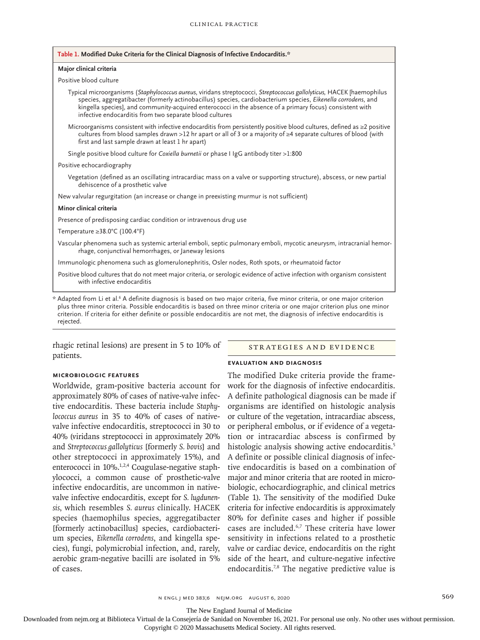#### **Table 1. Modified Duke Criteria for the Clinical Diagnosis of Infective Endocarditis.\***

#### **Major clinical criteria**

Positive blood culture

- Typical microorganisms (*Staphylococcus aureus*, viridans streptococci, *Streptococcus gallolyticus,* HACEK [haemophilus species, aggregatibacter (formerly actinobacillus) species, cardiobacterium species, *Eikenella corrodens*, and kingella species], and community-acquired enterococci in the absence of a primary focus) consistent with infective endocarditis from two separate blood cultures
- Microorganisms consistent with infective endocarditis from persistently positive blood cultures, defined as ≥2 positive cultures from blood samples drawn >12 hr apart or all of 3 or a majority of ≥4 separate cultures of blood (with first and last sample drawn at least 1 hr apart)

Single positive blood culture for *Coxiella burnetii* or phase I IgG antibody titer >1:800

Positive echocardiography

Vegetation (defined as an oscillating intracardiac mass on a valve or supporting structure), abscess, or new partial dehiscence of a prosthetic valve

New valvular regurgitation (an increase or change in preexisting murmur is not sufficient)

#### **Minor clinical criteria**

Presence of predisposing cardiac condition or intravenous drug use

Temperature ≥38.0°C (100.4°F)

Vascular phenomena such as systemic arterial emboli, septic pulmonary emboli, mycotic aneurysm, intracranial hemorrhage, conjunctival hemorrhages, or Janeway lesions

Immunologic phenomena such as glomerulonephritis, Osler nodes, Roth spots, or rheumatoid factor

Positive blood cultures that do not meet major criteria, or serologic evidence of active infection with organism consistent with infective endocarditis

\* Adapted from Li et al.6 A definite diagnosis is based on two major criteria, five minor criteria, or one major criterion plus three minor criteria. Possible endocarditis is based on three minor criteria or one major criterion plus one minor criterion. If criteria for either definite or possible endocarditis are not met, the diagnosis of infective endocarditis is rejected.

rhagic retinal lesions) are present in 5 to 10% of patients.

# Strategies and Evidence

**Evaluation and Diagnosis**

# **Microbiologic Features**

Worldwide, gram-positive bacteria account for approximately 80% of cases of native-valve infective endocarditis. These bacteria include *Staphylococcus aureus* in 35 to 40% of cases of nativevalve infective endocarditis, streptococci in 30 to 40% (viridans streptococci in approximately 20% and *Streptococcus gallolyticus* [formerly *S. bovis*] and other streptococci in approximately 15%), and enterococci in 10%.<sup>1,2,4</sup> Coagulase-negative staphylococci, a common cause of prosthetic-valve infective endocarditis, are uncommon in nativevalve infective endocarditis, except for *S. lugdunensis*, which resembles *S. aureus* clinically. HACEK species (haemophilus species, aggregatibacter [formerly actinobacillus] species, cardiobacterium species, *Eikenella corrodens*, and kingella species), fungi, polymicrobial infection, and, rarely, aerobic gram-negative bacilli are isolated in 5% of cases.

The modified Duke criteria provide the framework for the diagnosis of infective endocarditis. A definite pathological diagnosis can be made if organisms are identified on histologic analysis or culture of the vegetation, intracardiac abscess, or peripheral embolus, or if evidence of a vegetation or intracardiac abscess is confirmed by histologic analysis showing active endocarditis.<sup>5</sup> A definite or possible clinical diagnosis of infective endocarditis is based on a combination of major and minor criteria that are rooted in microbiologic, echocardiographic, and clinical metrics (Table 1). The sensitivity of the modified Duke criteria for infective endocarditis is approximately 80% for definite cases and higher if possible cases are included.6,7 These criteria have lower sensitivity in infections related to a prosthetic valve or cardiac device, endocarditis on the right side of the heart, and culture-negative infective endocarditis.7,8 The negative predictive value is

n engl j med 383;6 nejm.org August 6, 2020 569

The New England Journal of Medicine

Downloaded from nejm.org at Biblioteca Virtual de la Consejería de Sanidad on November 16, 2021. For personal use only. No other uses without permission.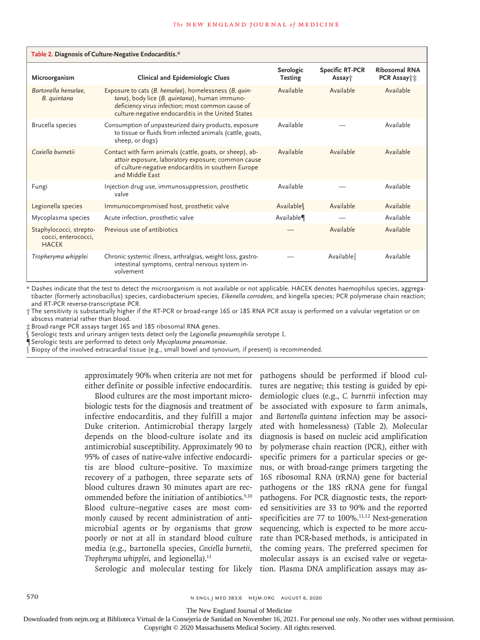| Table 2. Diagnosis of Culture-Negative Endocarditis.*          |                                                                                                                                                                                                                   |                             |                                  |                                     |  |
|----------------------------------------------------------------|-------------------------------------------------------------------------------------------------------------------------------------------------------------------------------------------------------------------|-----------------------------|----------------------------------|-------------------------------------|--|
| Microorganism                                                  | <b>Clinical and Epidemiologic Clues</b>                                                                                                                                                                           | Serologic<br><b>Testing</b> | <b>Specific RT-PCR</b><br>Assay* | <b>Ribosomal RNA</b><br>PCR Assay†* |  |
| Bartonella henselae,<br>B. quintana                            | Exposure to cats (B. henselae), homelessness (B. quin-<br>tana), body lice (B. quintana), human immuno-<br>deficiency virus infection; most common cause of<br>culture-negative endocarditis in the United States | Available                   | Available                        | Available                           |  |
| Brucella species                                               | Consumption of unpasteurized dairy products, exposure<br>to tissue or fluids from infected animals (cattle, goats,<br>sheep, or dogs)                                                                             | Available                   |                                  | Available                           |  |
| Coxiella burnetii                                              | Contact with farm animals (cattle, goats, or sheep), ab-<br>attoir exposure, laboratory exposure; common cause<br>of culture-negative endocarditis in southern Europe<br>and Middle East                          | Available                   | Available                        | Available                           |  |
| Fungi                                                          | Injection drug use, immunosuppression, prosthetic<br>valve                                                                                                                                                        | Available                   |                                  | Available                           |  |
| Legionella species                                             | Immunocompromised host, prosthetic valve                                                                                                                                                                          | Available                   | Available                        | Available                           |  |
| Mycoplasma species                                             | Acute infection, prosthetic valve                                                                                                                                                                                 | Available                   |                                  | Available                           |  |
| Staphylococci, strepto-<br>cocci, enterococci,<br><b>HACEK</b> | Previous use of antibiotics                                                                                                                                                                                       |                             | Available                        | Available                           |  |
| Tropheryma whipplei                                            | Chronic systemic illness, arthralgias, weight loss, gastro-<br>intestinal symptoms, central nervous system in-<br>volvement                                                                                       |                             | Available                        | Available                           |  |

\* Dashes indicate that the test to detect the microorganism is not available or not applicable. HACEK denotes haemophilus species, aggregatibacter (formerly actinobacillus) species, cardiobacterium species, *Eikenella corrodens*, and kingella species; PCR polymerase chain reaction; and RT-PCR reverse-transcriptase PCR.

† The sensitivity is substantially higher if the RT-PCR or broad-range 16S or 18S RNA PCR assay is performed on a valvular vegetation or on abscess material rather than blood.

‡ Broad-range PCR assays target 16S and 18S ribosomal RNA genes.

§ Serologic tests and urinary antigen tests detect only the *Legionella pneumophila* serotype 1.

¶ Serologic tests are performed to detect only *Mycoplasma pneumoniae*.

‖ Biopsy of the involved extracardial tissue (e.g., small bowel and synovium, if present) is recommended.

approximately 90% when criteria are not met for either definite or possible infective endocarditis.

Blood cultures are the most important microbiologic tests for the diagnosis and treatment of infective endocarditis, and they fulfill a major Duke criterion. Antimicrobial therapy largely depends on the blood-culture isolate and its antimicrobial susceptibility. Approximately 90 to 95% of cases of native-valve infective endocarditis are blood culture–positive. To maximize recovery of a pathogen, three separate sets of blood cultures drawn 30 minutes apart are recommended before the initiation of antibiotics.9,10 Blood culture–negative cases are most commonly caused by recent administration of antimicrobial agents or by organisms that grow poorly or not at all in standard blood culture media (e.g., bartonella species, *Coxiella burnetii*, *Tropheryma whipplei*, and legionella).<sup>11</sup>

Serologic and molecular testing for likely

pathogens should be performed if blood cultures are negative; this testing is guided by epidemiologic clues (e.g., *C. burnetii* infection may be associated with exposure to farm animals, and *Bartonella quintana* infection may be associated with homelessness) (Table 2). Molecular diagnosis is based on nucleic acid amplification by polymerase chain reaction (PCR), either with specific primers for a particular species or genus, or with broad-range primers targeting the 16S ribosomal RNA (rRNA) gene for bacterial pathogens or the 18S rRNA gene for fungal pathogens. For PCR diagnostic tests, the reported sensitivities are 33 to 90% and the reported specificities are 77 to 100%.<sup>11,12</sup> Next-generation sequencing, which is expected to be more accurate than PCR-based methods, is anticipated in the coming years. The preferred specimen for molecular assays is an excised valve or vegetation. Plasma DNA amplification assays may as-

570 n engl j med 383;6 nejm.org August 6, 2020

The New England Journal of Medicine

Downloaded from nejm.org at Biblioteca Virtual de la Consejería de Sanidad on November 16, 2021. For personal use only. No other uses without permission.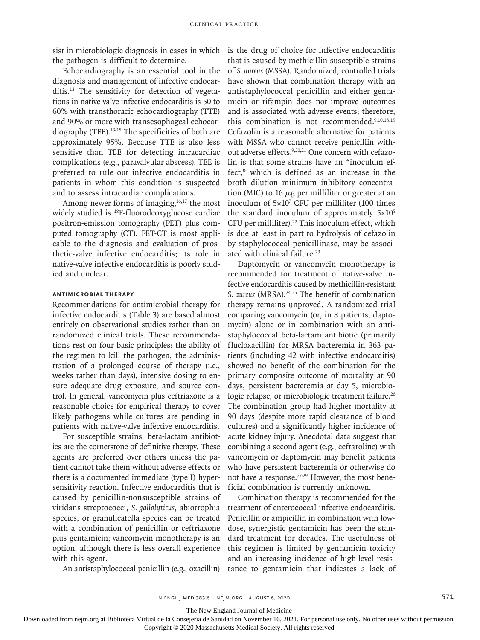sist in microbiologic diagnosis in cases in which is the drug of choice for infective endocarditis the pathogen is difficult to determine.

Echocardiography is an essential tool in the diagnosis and management of infective endocarditis.13 The sensitivity for detection of vegetations in native-valve infective endocarditis is 50 to 60% with transthoracic echocardiography (TTE) and 90% or more with transesophageal echocardiography (TEE).<sup>13-15</sup> The specificities of both are approximately 95%. Because TTE is also less sensitive than TEE for detecting intracardiac complications (e.g., paravalvular abscess), TEE is preferred to rule out infective endocarditis in patients in whom this condition is suspected and to assess intracardiac complications.

Among newer forms of imaging, $16,17$  the most widely studied is <sup>18</sup>F-fluorodeoxyglucose cardiac positron-emission tomography (PET) plus computed tomography (CT). PET-CT is most applicable to the diagnosis and evaluation of prosthetic-valve infective endocarditis; its role in native-valve infective endocarditis is poorly studied and unclear.

# **Antimicrobial Therapy**

Recommendations for antimicrobial therapy for infective endocarditis (Table 3) are based almost entirely on observational studies rather than on randomized clinical trials. These recommendations rest on four basic principles: the ability of the regimen to kill the pathogen, the administration of a prolonged course of therapy (i.e., weeks rather than days), intensive dosing to ensure adequate drug exposure, and source control. In general, vancomycin plus ceftriaxone is a reasonable choice for empirical therapy to cover likely pathogens while cultures are pending in patients with native-valve infective endocarditis.

For susceptible strains, beta-lactam antibiotics are the cornerstone of definitive therapy. These agents are preferred over others unless the patient cannot take them without adverse effects or there is a documented immediate (type I) hypersensitivity reaction. Infective endocarditis that is caused by penicillin-nonsusceptible strains of viridans streptococci, *S. gallolyticus*, abiotrophia species, or granulicatella species can be treated with a combination of penicillin or ceftriaxone plus gentamicin; vancomycin monotherapy is an option, although there is less overall experience with this agent.

An antistaphylococcal penicillin (e.g., oxacillin)

that is caused by methicillin-susceptible strains of *S. aureus* (MSSA). Randomized, controlled trials have shown that combination therapy with an antistaphylococcal penicillin and either gentamicin or rifampin does not improve outcomes and is associated with adverse events; therefore, this combination is not recommended.<sup>9,10,18,19</sup> Cefazolin is a reasonable alternative for patients with MSSA who cannot receive penicillin without adverse effects.<sup>9,20,21</sup> One concern with cefazolin is that some strains have an "inoculum effect," which is defined as an increase in the broth dilution minimum inhibitory concentration (MIC) to 16  $\mu$ g per milliliter or greater at an inoculum of  $5\times10^7$  CFU per milliliter (100 times the standard inoculum of approximately 5×105 CFU per milliliter).<sup>22</sup> This inoculum effect, which is due at least in part to hydrolysis of cefazolin by staphylococcal penicillinase, may be associated with clinical failure.<sup>23</sup>

Daptomycin or vancomycin monotherapy is recommended for treatment of native-valve infective endocarditis caused by methicillin-resistant *S. aureus* (MRSA).24,25 The benefit of combination therapy remains unproved. A randomized trial comparing vancomycin (or, in 8 patients, daptomycin) alone or in combination with an antistaphylococcal beta-lactam antibiotic (primarily flucloxacillin) for MRSA bacteremia in 363 patients (including 42 with infective endocarditis) showed no benefit of the combination for the primary composite outcome of mortality at 90 days, persistent bacteremia at day 5, microbiologic relapse, or microbiologic treatment failure.<sup>26</sup> The combination group had higher mortality at 90 days (despite more rapid clearance of blood cultures) and a significantly higher incidence of acute kidney injury. Anecdotal data suggest that combining a second agent (e.g., ceftaroline) with vancomycin or daptomycin may benefit patients who have persistent bacteremia or otherwise do not have a response.27-29 However, the most beneficial combination is currently unknown.

Combination therapy is recommended for the treatment of enterococcal infective endocarditis. Penicillin or ampicillin in combination with lowdose, synergistic gentamicin has been the standard treatment for decades. The usefulness of this regimen is limited by gentamicin toxicity and an increasing incidence of high-level resistance to gentamicin that indicates a lack of

n engl j med 383;6 nejm.org August 6, 2020 571

The New England Journal of Medicine

Downloaded from nejm.org at Biblioteca Virtual de la Consejería de Sanidad on November 16, 2021. For personal use only. No other uses without permission.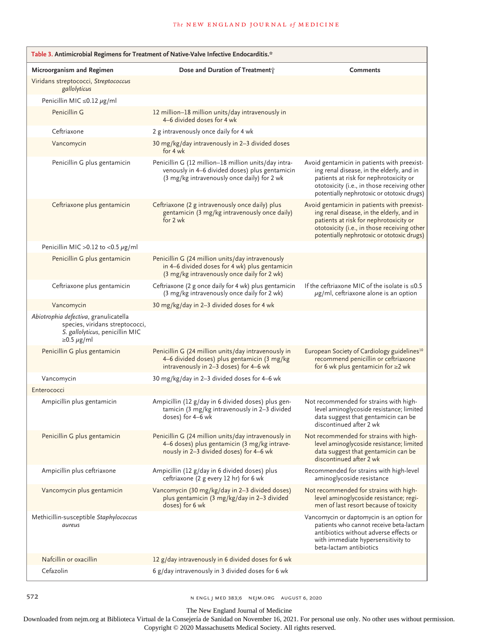| Table 3. Antimicrobial Regimens for Treatment of Native-Valve Infective Endocarditis.*                                            |                                                                                                                                                       |                                                                                                                                                                                                                                 |  |  |  |  |
|-----------------------------------------------------------------------------------------------------------------------------------|-------------------------------------------------------------------------------------------------------------------------------------------------------|---------------------------------------------------------------------------------------------------------------------------------------------------------------------------------------------------------------------------------|--|--|--|--|
| Microorganism and Regimen                                                                                                         | Dose and Duration of Treatment;                                                                                                                       | <b>Comments</b>                                                                                                                                                                                                                 |  |  |  |  |
| Viridans streptococci, Streptococcus<br>gallolyticus                                                                              |                                                                                                                                                       |                                                                                                                                                                                                                                 |  |  |  |  |
| Penicillin MIC $\leq$ 0.12 µg/ml                                                                                                  |                                                                                                                                                       |                                                                                                                                                                                                                                 |  |  |  |  |
| Penicillin G                                                                                                                      | 12 million-18 million units/day intravenously in<br>4-6 divided doses for 4 wk                                                                        |                                                                                                                                                                                                                                 |  |  |  |  |
| Ceftriaxone                                                                                                                       | 2 g intravenously once daily for 4 wk                                                                                                                 |                                                                                                                                                                                                                                 |  |  |  |  |
| Vancomycin                                                                                                                        | 30 mg/kg/day intravenously in 2-3 divided doses<br>for $4$ wk                                                                                         |                                                                                                                                                                                                                                 |  |  |  |  |
| Penicillin G plus gentamicin                                                                                                      | Penicillin G (12 million-18 million units/day intra-<br>venously in 4-6 divided doses) plus gentamicin<br>(3 mg/kg intravenously once daily) for 2 wk | Avoid gentamicin in patients with preexist-<br>ing renal disease, in the elderly, and in<br>patients at risk for nephrotoxicity or<br>ototoxicity (i.e., in those receiving other<br>potentially nephrotoxic or ototoxic drugs) |  |  |  |  |
| Ceftriaxone plus gentamicin                                                                                                       | Ceftriaxone (2 g intravenously once daily) plus<br>gentamicin (3 mg/kg intravenously once daily)<br>for 2 wk                                          | Avoid gentamicin in patients with preexist-<br>ing renal disease, in the elderly, and in<br>patients at risk for nephrotoxicity or<br>ototoxicity (i.e., in those receiving other<br>potentially nephrotoxic or ototoxic drugs) |  |  |  |  |
| Penicillin MIC > 0.12 to < 0.5 $\mu$ g/ml                                                                                         |                                                                                                                                                       |                                                                                                                                                                                                                                 |  |  |  |  |
| Penicillin G plus gentamicin                                                                                                      | Penicillin G (24 million units/day intravenously<br>in 4-6 divided doses for 4 wk) plus gentamicin<br>(3 mg/kg intravenously once daily for 2 wk)     |                                                                                                                                                                                                                                 |  |  |  |  |
| Ceftriaxone plus gentamicin                                                                                                       | Ceftriaxone (2 g once daily for 4 wk) plus gentamicin<br>(3 mg/kg intravenously once daily for 2 wk)                                                  | If the ceftriaxone MIC of the isolate is $\leq 0.5$<br>$\mu$ g/ml, ceftriaxone alone is an option                                                                                                                               |  |  |  |  |
| Vancomycin                                                                                                                        | 30 mg/kg/day in 2-3 divided doses for 4 wk                                                                                                            |                                                                                                                                                                                                                                 |  |  |  |  |
| Abiotrophia defectiva, granulicatella<br>species, viridans streptococci,<br>S. gallolyticus, penicillin MIC<br>$\ge 0.5 \mu g/ml$ |                                                                                                                                                       |                                                                                                                                                                                                                                 |  |  |  |  |
| Penicillin G plus gentamicin                                                                                                      | Penicillin G (24 million units/day intravenously in<br>4-6 divided doses) plus gentamicin (3 mg/kg<br>intravenously in 2-3 doses) for 4-6 wk          | European Society of Cardiology guidelines <sup>10</sup><br>recommend penicillin or ceftriaxone<br>for 6 wk plus gentamicin for $\geq$ 2 wk                                                                                      |  |  |  |  |
| Vancomycin                                                                                                                        | 30 mg/kg/day in 2-3 divided doses for 4-6 wk                                                                                                          |                                                                                                                                                                                                                                 |  |  |  |  |
| Enterococci                                                                                                                       |                                                                                                                                                       |                                                                                                                                                                                                                                 |  |  |  |  |
| Ampicillin plus gentamicin                                                                                                        | Ampicillin (12 g/day in 6 divided doses) plus gen-<br>tamicin (3 mg/kg intravenously in 2-3 divided<br>doses) for 4–6 wk                              | Not recommended for strains with high-<br>level aminoglycoside resistance; limited<br>data suggest that gentamicin can be<br>discontinued after 2 wk                                                                            |  |  |  |  |
| Penicillin G plus gentamicin                                                                                                      | Penicillin G (24 million units/day intravenously in<br>4-6 doses) plus gentamicin (3 mg/kg intrave-<br>nously in 2-3 divided doses) for 4-6 wk        | Not recommended for strains with high-<br>level aminoglycoside resistance; limited<br>data suggest that gentamicin can be<br>discontinued after 2 wk                                                                            |  |  |  |  |
| Ampicillin plus ceftriaxone                                                                                                       | Ampicillin (12 g/day in 6 divided doses) plus<br>ceftriaxone (2 g every 12 hr) for 6 wk                                                               | Recommended for strains with high-level<br>aminoglycoside resistance                                                                                                                                                            |  |  |  |  |
| Vancomycin plus gentamicin                                                                                                        | Vancomycin (30 mg/kg/day in 2-3 divided doses)<br>plus gentamicin (3 mg/kg/day in 2-3 divided<br>doses) for 6 wk                                      | Not recommended for strains with high-<br>level aminoglycoside resistance; regi-<br>men of last resort because of toxicity                                                                                                      |  |  |  |  |
| Methicillin-susceptible Staphylococcus<br>aureus                                                                                  |                                                                                                                                                       | Vancomycin or daptomycin is an option for<br>patients who cannot receive beta-lactam<br>antibiotics without adverse effects or<br>with immediate hypersensitivity to<br>beta-lactam antibiotics                                 |  |  |  |  |
| Nafcillin or oxacillin                                                                                                            | 12 g/day intravenously in 6 divided doses for 6 wk                                                                                                    |                                                                                                                                                                                                                                 |  |  |  |  |
| Cefazolin                                                                                                                         | 6 g/day intravenously in 3 divided doses for 6 wk                                                                                                     |                                                                                                                                                                                                                                 |  |  |  |  |

572 N ENGL J MED 383;6 NEJM.ORG AUGUST 6, 2020

The New England Journal of Medicine

Downloaded from nejm.org at Biblioteca Virtual de la Consejería de Sanidad on November 16, 2021. For personal use only. No other uses without permission.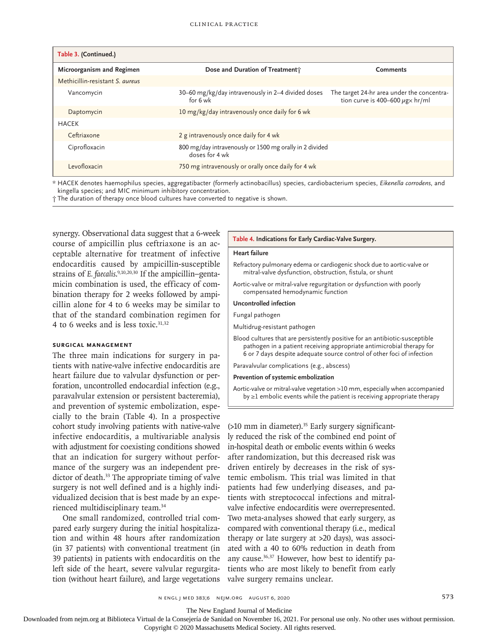| Table 3. (Continued.)           |                                                                           |                                                                                    |  |  |  |
|---------------------------------|---------------------------------------------------------------------------|------------------------------------------------------------------------------------|--|--|--|
| Microorganism and Regimen       | Dose and Duration of Treatment;                                           | <b>Comments</b>                                                                    |  |  |  |
| Methicillin-resistant S. aureus |                                                                           |                                                                                    |  |  |  |
| Vancomycin                      | 30-60 mg/kg/day intravenously in 2-4 divided doses<br>for 6 wk            | The target 24-hr area under the concentra-<br>tion curve is 400-600 $\mu$ gx hr/ml |  |  |  |
| Daptomycin                      | 10 mg/kg/day intravenously once daily for 6 wk                            |                                                                                    |  |  |  |
| <b>HACEK</b>                    |                                                                           |                                                                                    |  |  |  |
| Ceftriaxone                     | 2 g intravenously once daily for 4 wk                                     |                                                                                    |  |  |  |
| Ciprofloxacin                   | 800 mg/day intravenously or 1500 mg orally in 2 divided<br>doses for 4 wk |                                                                                    |  |  |  |
| Levofloxacin                    | 750 mg intravenously or orally once daily for 4 wk                        |                                                                                    |  |  |  |

\* HACEK denotes haemophilus species, aggregatibacter (formerly actinobacillus) species, cardiobacterium species, *Eikenella corrodens*, and kingella species; and MIC minimum inhibitory concentration.

† The duration of therapy once blood cultures have converted to negative is shown.

synergy. Observational data suggest that a 6-week course of ampicillin plus ceftriaxone is an acceptable alternative for treatment of infective endocarditis caused by ampicillin-susceptible strains of *E. faecalis*. 9,10,20,30 If the ampicillin–gentamicin combination is used, the efficacy of combination therapy for 2 weeks followed by ampicillin alone for 4 to 6 weeks may be similar to that of the standard combination regimen for 4 to 6 weeks and is less toxic. $31,32$ 

#### **Surgical Management**

The three main indications for surgery in patients with native-valve infective endocarditis are heart failure due to valvular dysfunction or perforation, uncontrolled endocardial infection (e.g., paravalvular extension or persistent bacteremia), and prevention of systemic embolization, especially to the brain (Table 4). In a prospective cohort study involving patients with native-valve infective endocarditis, a multivariable analysis with adjustment for coexisting conditions showed that an indication for surgery without performance of the surgery was an independent predictor of death.<sup>33</sup> The appropriate timing of valve surgery is not well defined and is a highly individualized decision that is best made by an experienced multidisciplinary team.34

One small randomized, controlled trial compared early surgery during the initial hospitalization and within 48 hours after randomization (in 37 patients) with conventional treatment (in 39 patients) in patients with endocarditis on the left side of the heart, severe valvular regurgitation (without heart failure), and large vegetations

#### **Table 4. Indications for Early Cardiac-Valve Surgery.**

# **Heart failure**

Refractory pulmonary edema or cardiogenic shock due to aortic-valve or mitral-valve dysfunction, obstruction, fistula, or shunt

Aortic-valve or mitral-valve regurgitation or dysfunction with poorly compensated hemodynamic function

# **Uncontrolled infection**

Fungal pathogen

Multidrug-resistant pathogen

Blood cultures that are persistently positive for an antibiotic-susceptible pathogen in a patient receiving appropriate antimicrobial therapy for 6 or 7 days despite adequate source control of other foci of infection

Paravalvular complications (e.g., abscess)

#### **Prevention of systemic embolization**

Aortic-valve or mitral-valve vegetation >10 mm, especially when accompanied by ≥1 embolic events while the patient is receiving appropriate therapy

 $(510 \text{ mm}$  in diameter).<sup>35</sup> Early surgery significantly reduced the risk of the combined end point of in-hospital death or embolic events within 6 weeks after randomization, but this decreased risk was driven entirely by decreases in the risk of systemic embolism. This trial was limited in that patients had few underlying diseases, and patients with streptococcal infections and mitralvalve infective endocarditis were overrepresented. Two meta-analyses showed that early surgery, as compared with conventional therapy (i.e., medical therapy or late surgery at >20 days), was associated with a 40 to 60% reduction in death from any cause.<sup>36,37</sup> However, how best to identify patients who are most likely to benefit from early valve surgery remains unclear.

n engl j med 383;6 nejm.org August 6, 2020 573

The New England Journal of Medicine

Downloaded from nejm.org at Biblioteca Virtual de la Consejería de Sanidad on November 16, 2021. For personal use only. No other uses without permission.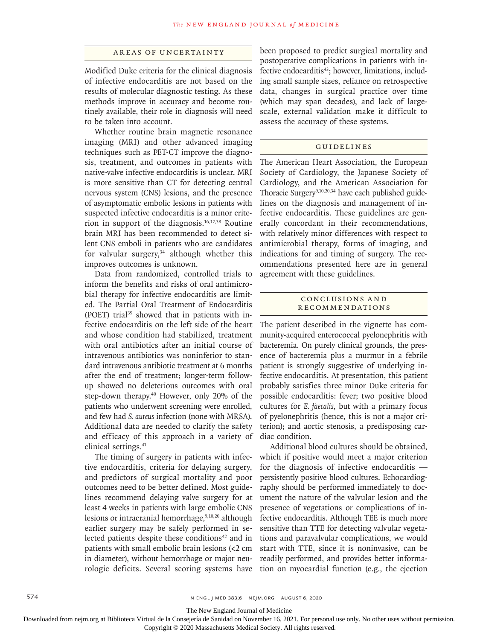# Areas of Uncertainty

Modified Duke criteria for the clinical diagnosis of infective endocarditis are not based on the results of molecular diagnostic testing. As these methods improve in accuracy and become routinely available, their role in diagnosis will need to be taken into account.

Whether routine brain magnetic resonance imaging (MRI) and other advanced imaging techniques such as PET-CT improve the diagnosis, treatment, and outcomes in patients with native-valve infective endocarditis is unclear. MRI is more sensitive than CT for detecting central nervous system (CNS) lesions, and the presence of asymptomatic embolic lesions in patients with suspected infective endocarditis is a minor criterion in support of the diagnosis.16,17,38 Routine brain MRI has been recommended to detect silent CNS emboli in patients who are candidates for valvular surgery, $34$  although whether this improves outcomes is unknown.

Data from randomized, controlled trials to inform the benefits and risks of oral antimicrobial therapy for infective endocarditis are limited. The Partial Oral Treatment of Endocarditis (POET) trial<sup>39</sup> showed that in patients with infective endocarditis on the left side of the heart and whose condition had stabilized, treatment with oral antibiotics after an initial course of intravenous antibiotics was noninferior to standard intravenous antibiotic treatment at 6 months after the end of treatment; longer-term followup showed no deleterious outcomes with oral step-down therapy.40 However, only 20% of the patients who underwent screening were enrolled, and few had *S. aureus* infection (none with MRSA). Additional data are needed to clarify the safety and efficacy of this approach in a variety of clinical settings.<sup>41</sup>

The timing of surgery in patients with infective endocarditis, criteria for delaying surgery, and predictors of surgical mortality and poor outcomes need to be better defined. Most guidelines recommend delaying valve surgery for at least 4 weeks in patients with large embolic CNS lesions or intracranial hemorrhage, $9,10,20$  although earlier surgery may be safely performed in selected patients despite these conditions<sup>42</sup> and in patients with small embolic brain lesions (<2 cm in diameter), without hemorrhage or major neurologic deficits. Several scoring systems have been proposed to predict surgical mortality and postoperative complications in patients with infective endocarditis<sup>43</sup>; however, limitations, including small sample sizes, reliance on retrospective data, changes in surgical practice over time (which may span decades), and lack of largescale, external validation make it difficult to assess the accuracy of these systems.

# Guidelines

The American Heart Association, the European Society of Cardiology, the Japanese Society of Cardiology, and the American Association for Thoracic Surgery<sup>9,10,20,34</sup> have each published guidelines on the diagnosis and management of infective endocarditis. These guidelines are generally concordant in their recommendations, with relatively minor differences with respect to antimicrobial therapy, forms of imaging, and indications for and timing of surgery. The recommendations presented here are in general agreement with these guidelines.

# Conclusions a nd Recommendations

The patient described in the vignette has community-acquired enterococcal pyelonephritis with bacteremia. On purely clinical grounds, the presence of bacteremia plus a murmur in a febrile patient is strongly suggestive of underlying infective endocarditis. At presentation, this patient probably satisfies three minor Duke criteria for possible endocarditis: fever; two positive blood cultures for *E. faecalis*, but with a primary focus of pyelonephritis (hence, this is not a major criterion); and aortic stenosis, a predisposing cardiac condition.

Additional blood cultures should be obtained, which if positive would meet a major criterion for the diagnosis of infective endocarditis persistently positive blood cultures. Echocardiography should be performed immediately to document the nature of the valvular lesion and the presence of vegetations or complications of infective endocarditis. Although TEE is much more sensitive than TTE for detecting valvular vegetations and paravalvular complications, we would start with TTE, since it is noninvasive, can be readily performed, and provides better information on myocardial function (e.g., the ejection

The New England Journal of Medicine

Downloaded from nejm.org at Biblioteca Virtual de la Consejería de Sanidad on November 16, 2021. For personal use only. No other uses without permission.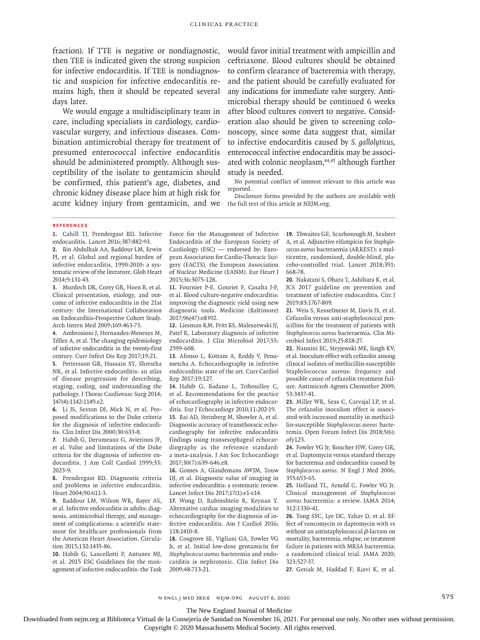fraction). If TTE is negative or nondiagnostic, then TEE is indicated given the strong suspicion for infective endocarditis. If TEE is nondiagnostic and suspicion for infective endocarditis remains high, then it should be repeated several days later.

We would engage a multidisciplinary team in care, including specialists in cardiology, cardiovascular surgery, and infectious diseases. Combination antimicrobial therapy for treatment of presumed enterococcal infective endocarditis should be administered promptly. Although susceptibility of the isolate to gentamicin should be confirmed, this patient's age, diabetes, and chronic kidney disease place him at high risk for acute kidney injury from gentamicin, and we would favor initial treatment with ampicillin and ceftriaxone. Blood cultures should be obtained to confirm clearance of bacteremia with therapy, and the patient should be carefully evaluated for any indications for immediate valve surgery. Antimicrobial therapy should be continued 6 weeks after blood cultures convert to negative. Consideration also should be given to screening colonoscopy, since some data suggest that, similar to infective endocarditis caused by *S. gallolyticus*, enterococcal infective endocarditis may be associated with colonic neoplasm,<sup>44,45</sup> although further study is needed.

No potential conflict of interest relevant to this article was reported.

Disclosure forms provided by the authors are available with the full text of this article at NEJM.org.

#### **References**

**1.** Cahill TJ, Prendergast BD. Infective endocarditis. Lancet 2016;387:882-93.

**2.** Bin Abdulhak AA, Baddour LM, Erwin PJ, et al. Global and regional burden of infective endocarditis, 1990-2010: a systematic review of the literature. Glob Heart 2014;9:131-43.

**3.** Murdoch DR, Corey GR, Hoen B, et al. Clinical presentation, etiology, and outcome of infective endocarditis in the 21st century: the International Collaboration on Endocarditis-Prospective Cohort Study. Arch Intern Med 2009;169:463-73.

**4.** Ambrosioni J, Hernandez-Meneses M, Téllez A, et al. The changing epidemiology of infective endocarditis in the twenty-first century. Curr Infect Dis Rep 2017;19:21.

**5.** Pettersson GB, Hussain ST, Shrestha NK, et al. Infective endocarditis: an atlas of disease progression for describing, staging, coding, and understanding the pathology. J Thorac Cardiovasc Surg 2014; 147(4):1142-1149.e2.

**6.** Li JS, Sexton DJ, Mick N, et al. Proposed modifications to the Duke criteria for the diagnosis of infective endocarditis. Clin Infect Dis 2000;30:633-8.

**7.** Habib G, Derumeaux G, Avierinos JF, et al. Value and limitations of the Duke criteria for the diagnosis of infective endocarditis. J Am Coll Cardiol 1999;33: 2023-9.

**8.** Prendergast BD. Diagnostic criteria and problems in infective endocarditis. Heart 2004;90:611-3.

**9.** Baddour LM, Wilson WR, Bayer AS, et al. Infective endocarditis in adults: diagnosis, antimicrobial therapy, and management of complications: a scientific statement for healthcare professionals from the American Heart Association. Circulation 2015;132:1435-86.

**10.** Habib G, Lancellotti P, Antunes MJ, et al. 2015 ESC Guidelines for the management of infective endocarditis: the Task Force for the Management of Infective Endocarditis of the European Society of Cardiology (ESC) — endorsed by: European Association for Cardio-Thoracic Surgery (EACTS), the European Association of Nuclear Medicine (EANM). Eur Heart J 2015;36:3075-128.

**11.** Fournier P-E, Gouriet F, Casalta J-P, et al. Blood culture-negative endocarditis: improving the diagnostic yield using new diagnostic tools. Medicine (Baltimore) 2017;96(47):e8392.

**12.** Liesman RM, Pritt BS, Maleszewski JJ, Patel R. Laboratory diagnosis of infective endocarditis. J Clin Microbiol 2017;55: 2599-608.

**13.** Afonso L, Kottam A, Reddy V, Penumetcha A. Echocardiography in infective endocarditis: state of the art. Curr Cardiol Rep 2017;19:127.

**14.** Habib G, Badano L, Tribouilloy C, et al. Recommendations for the practice of echocardiography in infective endocarditis. Eur J Echocardiogr 2010;11:202-19. **15.** Bai AD, Steinberg M, Showler A, et al. Diagnostic accuracy of transthoracic echocardiography for infective endocarditis findings using transesophageal echocardiography as the reference standard: a meta-analysis. J Am Soc Echocardiogr 2017;30(7):639-646.e8.

**16.** Gomes A, Glaudemans AWJM, Touw DJ, et al. Diagnostic value of imaging in infective endocarditis: a systematic review. Lancet Infect Dis 2017;17(1):e1-e14.

**17.** Wong D, Rubinshtein R, Keynan Y. Alternative cardiac imaging modalities to echocardiography for the diagnosis of infective endocarditis. Am J Cardiol 2016; 118:1410-8.

**18.** Cosgrove SE, Vigliani GA, Fowler VG Jr, et al. Initial low-dose gentamicin for *Staphylococcus aureus* bacteremia and endocarditis is nephrotoxic. Clin Infect Dis 2009;48:713-21.

**19.** Thwaites GE, Scarborough M, Szubert A, et al. Adjunctive rifampicin for *Staphylococcus aureus* bacteraemia (ARREST): a multicentre, randomised, double-blind, placebo-controlled trial. Lancet 2018;391: 668-78.

**20.** Nakatani S, Ohara T, Ashihara K, et al. JCS 2017 guideline on prevention and treatment of infective endocarditis. Circ J 2019;83:1767-809.

**21.** Weis S, Kesselmeier M, Davis JS, et al. Cefazolin versus anti-staphylococcal penicillins for the treatment of patients with *Staphylococcus aureus* bacteraemia. Clin Microbiol Infect 2019;25:818-27.

**22.** Nannini EC, Stryjewski ME, Singh KV, et al. Inoculum effect with cefazolin among clinical isolates of methicillin-susceptible Staphylococcus aureus: frequency and possible cause of cefazolin treatment failure. Antimicrob Agents Chemother 2009; 53:3437-41.

**23.** Miller WR, Seas C, Carvajal LP, et al. The cefazolin inoculum effect is associated with increased mortality in methicillin-susceptible *Staphylococcus aureus* bacteremia. Open Forum Infect Dis 2018;5(6): ofy123.

**24.** Fowler VG Jr, Boucher HW, Corey GR, et al. Daptomycin versus standard therapy for bacteremia and endocarditis caused by *Staphylococcus aureus*. N Engl J Med 2006; 355:653-65.

**25.** Holland TL, Arnold C, Fowler VG Jr. Clinical management of *Staphylococcus aureus* bacteremia: a review. JAMA 2014; 312:1330-41.

**26.** Tong SYC, Lye DC, Yahav D, et al. Effect of vancomycin or daptomycin with vs without an antistaphylococcal β-lactam on mortality, bacteremia, relapse, or treatment failure in patients with MRSA bacteremia: a randomized clinical trial. JAMA 2020; 323:527-37.

**27.** Geriak M, Haddad F, Rizvi K, et al.

n engl j med 383;6 nejm.org August 6, 2020 575

The New England Journal of Medicine

Downloaded from nejm.org at Biblioteca Virtual de la Consejería de Sanidad on November 16, 2021. For personal use only. No other uses without permission. Copyright © 2020 Massachusetts Medical Society. All rights reserved.